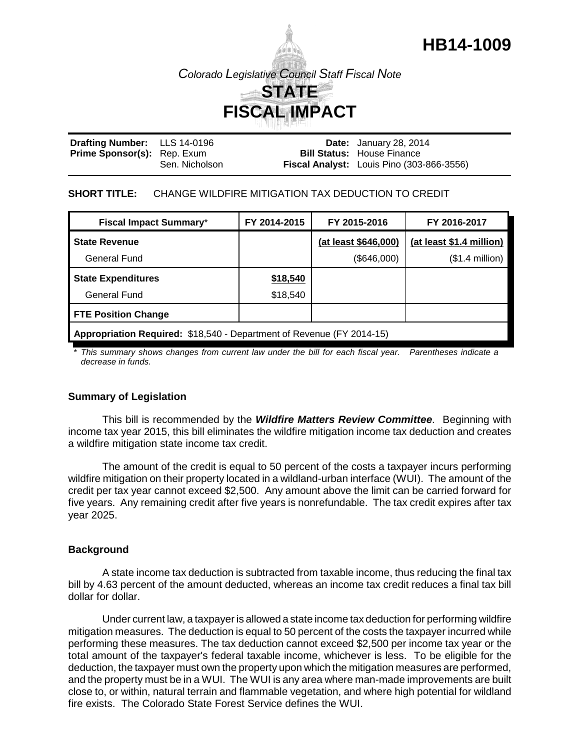

**HB14-1009**

| Drafting Number: LLS 14-0196       |                | <b>Date:</b> January 28, 2014             |
|------------------------------------|----------------|-------------------------------------------|
| <b>Prime Sponsor(s):</b> Rep. Exum |                | <b>Bill Status: House Finance</b>         |
|                                    | Sen. Nicholson | Fiscal Analyst: Louis Pino (303-866-3556) |

#### **SHORT TITLE:** CHANGE WILDFIRE MITIGATION TAX DEDUCTION TO CREDIT

| <b>Fiscal Impact Summary*</b>                                         | FY 2014-2015 | FY 2015-2016         | FY 2016-2017             |  |  |
|-----------------------------------------------------------------------|--------------|----------------------|--------------------------|--|--|
| <b>State Revenue</b>                                                  |              | (at least \$646,000) | (at least \$1.4 million) |  |  |
| General Fund                                                          |              | (\$646,000)          | $($1.4$ million $)$      |  |  |
| <b>State Expenditures</b>                                             | \$18,540     |                      |                          |  |  |
| <b>General Fund</b>                                                   | \$18,540     |                      |                          |  |  |
| <b>FTE Position Change</b>                                            |              |                      |                          |  |  |
| Appropriation Required: \$18,540 - Department of Revenue (FY 2014-15) |              |                      |                          |  |  |

*\* This summary shows changes from current law under the bill for each fiscal year. Parentheses indicate a decrease in funds.*

### **Summary of Legislation**

This bill is recommended by the *Wildfire Matters Review Committee.* Beginning with income tax year 2015, this bill eliminates the wildfire mitigation income tax deduction and creates a wildfire mitigation state income tax credit.

The amount of the credit is equal to 50 percent of the costs a taxpayer incurs performing wildfire mitigation on their property located in a wildland-urban interface (WUI). The amount of the credit per tax year cannot exceed \$2,500. Any amount above the limit can be carried forward for five years. Any remaining credit after five years is nonrefundable. The tax credit expires after tax year 2025.

### **Background**

A state income tax deduction is subtracted from taxable income, thus reducing the final tax bill by 4.63 percent of the amount deducted, whereas an income tax credit reduces a final tax bill dollar for dollar.

Under current law, a taxpayer is allowed a state income tax deduction for performing wildfire mitigation measures. The deduction is equal to 50 percent of the costs the taxpayer incurred while performing these measures. The tax deduction cannot exceed \$2,500 per income tax year or the total amount of the taxpayer's federal taxable income, whichever is less. To be eligible for the deduction, the taxpayer must own the property upon which the mitigation measures are performed, and the property must be in a WUI. The WUI is any area where man-made improvements are built close to, or within, natural terrain and flammable vegetation, and where high potential for wildland fire exists. The Colorado State Forest Service defines the WUI.